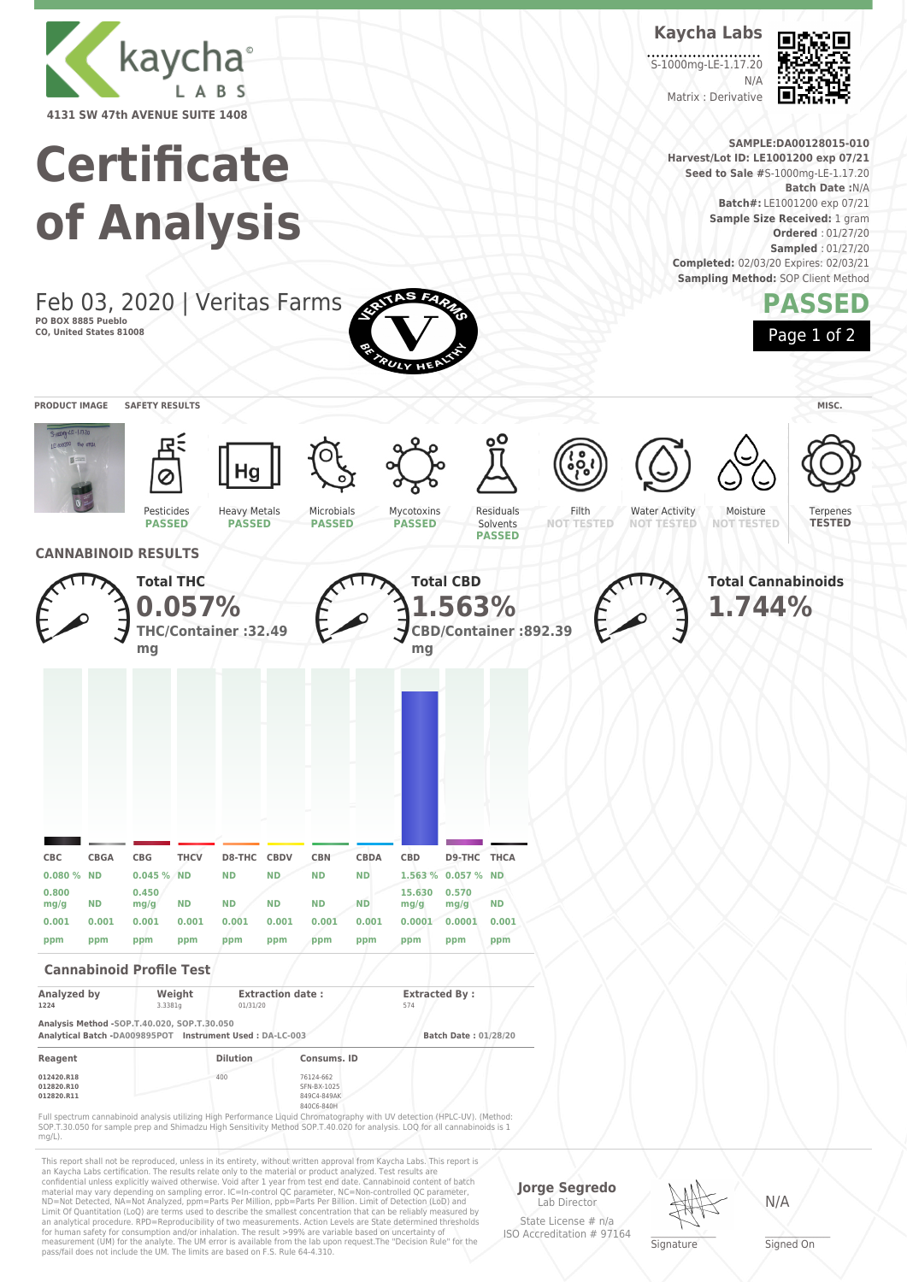

# **Certificate of Analysis**

Feb 03, 2020 | Veritas Farms **PO BOX 8885 Pueblo CO, United States 81008**



Limit Of Quantitation (LoQ) are terms used to describe the smallest concentration that can be reliably measured by an analytical procedure. RPD=Reproducibility of two measurements. Action Levels are State determined thresholds for human safety for consumption and/or inhalation. The result >99% are variable based on uncertainty of measurement (UM) for the analyte. The UM error is available from the lab upon request.The "Decision Rule" for the pass/fail does not include the UM. The limits are based on F.S. Rule 64-4.310.

Lab Director State License # n/a ISO Accreditation # 97164



**Signature** 

N/A

\_\_\_\_\_\_\_\_\_\_\_\_\_\_\_\_\_\_\_ Signed On



**Batch#:** LE1001200 exp 07/21 **Sample Size Received:** 1 gram **Ordered** : 01/27/20 **Sampled** : 01/27/20 **Completed:** 02/03/20 Expires: 02/03/21 **Sampling Method: SOP Client Method** 





**Kaycha Labs**